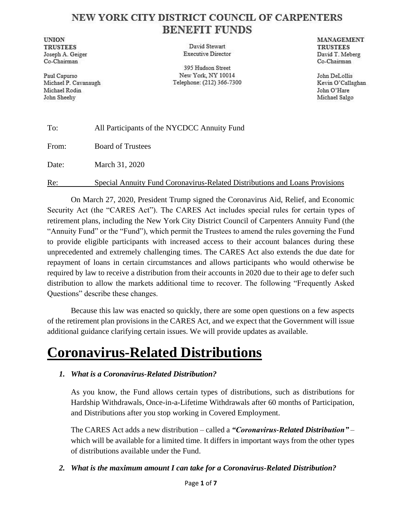### NEW YORK CITY DISTRICT COUNCIL OF CARPENTERS **BENEFIT FUNDS**

**UNION TRUSTEES** Joseph A. Geiger Co-Chairman

Paul Capurso Michael P. Cavanaugh Michael Rodin John Sheehy

David Stewart **Executive Director** 

395 Hudson Street New York, NY 10014 Telephone: (212) 366-7300

MANAGEMENT **TRUSTEES** David T. Meberg Co-Chairman

John DeLollis Kevin O'Callaghan John O'Hare Michael Salgo

| To:   | All Participants of the NYCDCC Annuity Fund                                 |
|-------|-----------------------------------------------------------------------------|
| From: | <b>Board of Trustees</b>                                                    |
| Date: | March 31, 2020                                                              |
| Re:   | Special Annuity Fund Coronavirus-Related Distributions and Loans Provisions |

On March 27, 2020, President Trump signed the Coronavirus Aid, Relief, and Economic Security Act (the "CARES Act"). The CARES Act includes special rules for certain types of retirement plans, including the New York City District Council of Carpenters Annuity Fund (the "Annuity Fund" or the "Fund"), which permit the Trustees to amend the rules governing the Fund to provide eligible participants with increased access to their account balances during these unprecedented and extremely challenging times. The CARES Act also extends the due date for repayment of loans in certain circumstances and allows participants who would otherwise be required by law to receive a distribution from their accounts in 2020 due to their age to defer such distribution to allow the markets additional time to recover. The following "Frequently Asked Questions" describe these changes.

Because this law was enacted so quickly, there are some open questions on a few aspects of the retirement plan provisions in the CARES Act, and we expect that the Government will issue additional guidance clarifying certain issues. We will provide updates as available.

## **Coronavirus-Related Distributions**

#### *1. What is a Coronavirus-Related Distribution?*

As you know, the Fund allows certain types of distributions, such as distributions for Hardship Withdrawals, Once-in-a-Lifetime Withdrawals after 60 months of Participation, and Distributions after you stop working in Covered Employment.

The CARES Act adds a new distribution – called a *"Coronavirus-Related Distribution"* – which will be available for a limited time. It differs in important ways from the other types of distributions available under the Fund.

#### *2. What is the maximum amount I can take for a Coronavirus-Related Distribution?*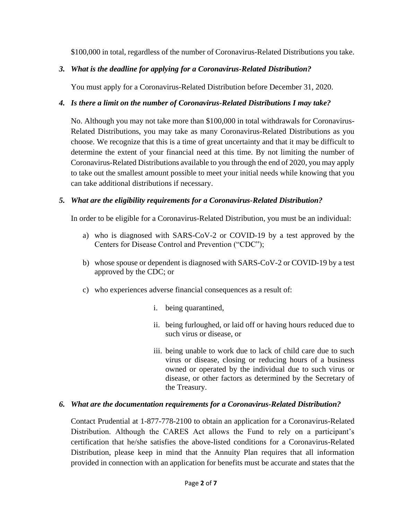\$100,000 in total, regardless of the number of Coronavirus-Related Distributions you take.

#### *3. What is the deadline for applying for a Coronavirus-Related Distribution?*

You must apply for a Coronavirus-Related Distribution before December 31, 2020.

#### *4. Is there a limit on the number of Coronavirus-Related Distributions I may take?*

No. Although you may not take more than \$100,000 in total withdrawals for Coronavirus-Related Distributions, you may take as many Coronavirus-Related Distributions as you choose. We recognize that this is a time of great uncertainty and that it may be difficult to determine the extent of your financial need at this time. By not limiting the number of Coronavirus-Related Distributions available to you through the end of 2020, you may apply to take out the smallest amount possible to meet your initial needs while knowing that you can take additional distributions if necessary.

#### *5. What are the eligibility requirements for a Coronavirus-Related Distribution?*

In order to be eligible for a Coronavirus-Related Distribution, you must be an individual:

- a) who is diagnosed with SARS-CoV-2 or COVID-19 by a test approved by the Centers for Disease Control and Prevention ("CDC");
- b) whose spouse or dependent is diagnosed with SARS-CoV-2 or COVID-19 by a test approved by the CDC; or
- c) who experiences adverse financial consequences as a result of:
	- i. being quarantined,
	- ii. being furloughed, or laid off or having hours reduced due to such virus or disease, or
	- iii. being unable to work due to lack of child care due to such virus or disease, closing or reducing hours of a business owned or operated by the individual due to such virus or disease, or other factors as determined by the Secretary of the Treasury.

#### *6. What are the documentation requirements for a Coronavirus-Related Distribution?*

Contact Prudential at 1-877-778-2100 to obtain an application for a Coronavirus-Related Distribution. Although the CARES Act allows the Fund to rely on a participant's certification that he/she satisfies the above-listed conditions for a Coronavirus-Related Distribution, please keep in mind that the Annuity Plan requires that all information provided in connection with an application for benefits must be accurate and states that the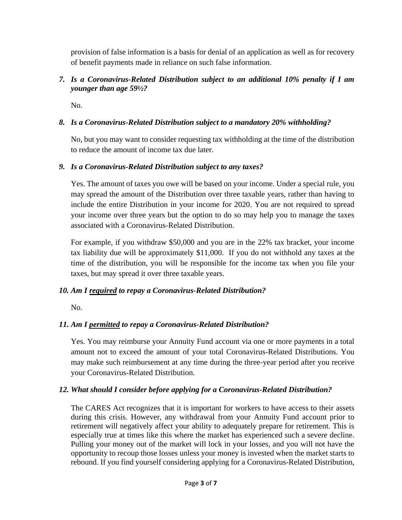provision of false information is a basis for denial of an application as well as for recovery of benefit payments made in reliance on such false information.

#### *7. Is a Coronavirus-Related Distribution subject to an additional 10% penalty if I am younger than age 59½?*

No.

#### *8. Is a Coronavirus-Related Distribution subject to a mandatory 20% withholding?*

No, but you may want to consider requesting tax withholding at the time of the distribution to reduce the amount of income tax due later.

#### *9. Is a Coronavirus-Related Distribution subject to any taxes?*

Yes. The amount of taxes you owe will be based on your income. Under a special rule, you may spread the amount of the Distribution over three taxable years, rather than having to include the entire Distribution in your income for 2020. You are not required to spread your income over three years but the option to do so may help you to manage the taxes associated with a Coronavirus-Related Distribution.

For example, if you withdraw \$50,000 and you are in the 22% tax bracket, your income tax liability due will be approximately \$11,000. If you do not withhold any taxes at the time of the distribution, you will be responsible for the income tax when you file your taxes, but may spread it over three taxable years.

#### *10. Am I required to repay a Coronavirus-Related Distribution?*

No.

#### *11. Am I permitted to repay a Coronavirus-Related Distribution?*

Yes. You may reimburse your Annuity Fund account via one or more payments in a total amount not to exceed the amount of your total Coronavirus-Related Distributions. You may make such reimbursement at any time during the three-year period after you receive your Coronavirus-Related Distribution.

#### *12. What should I consider before applying for a Coronavirus-Related Distribution?*

The CARES Act recognizes that it is important for workers to have access to their assets during this crisis. However, any withdrawal from your Annuity Fund account prior to retirement will negatively affect your ability to adequately prepare for retirement. This is especially true at times like this where the market has experienced such a severe decline. Pulling your money out of the market will lock in your losses, and you will not have the opportunity to recoup those losses unless your money is invested when the market starts to rebound. If you find yourself considering applying for a Coronavirus-Related Distribution,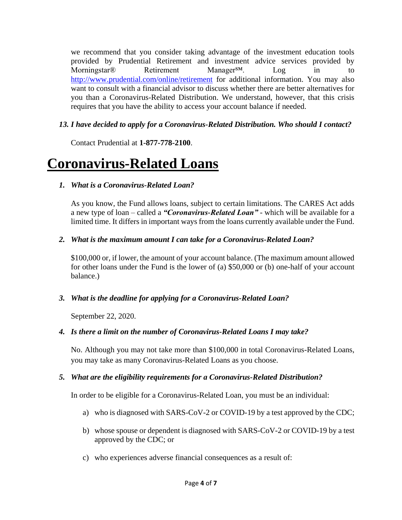we recommend that you consider taking advantage of the investment education tools provided by Prudential Retirement and investment advice services provided by Morningstar® Retirement Manager<sup>SM</sup>. Log in to <http://www.prudential.com/online/retirement> for additional information. You may also want to consult with a financial advisor to discuss whether there are better alternatives for you than a Coronavirus-Related Distribution. We understand, however, that this crisis requires that you have the ability to access your account balance if needed.

#### *13. I have decided to apply for a Coronavirus-Related Distribution. Who should I contact?*

Contact Prudential at **1-877-778-2100**.

## **Coronavirus-Related Loans**

#### *1. What is a Coronavirus-Related Loan?*

As you know, the Fund allows loans, subject to certain limitations. The CARES Act adds a new type of loan – called a *"Coronavirus-Related Loan"* - which will be available for a limited time. It differs in important ways from the loans currently available under the Fund.

#### *2. What is the maximum amount I can take for a Coronavirus-Related Loan?*

\$100,000 or, if lower, the amount of your account balance. (The maximum amount allowed for other loans under the Fund is the lower of (a) \$50,000 or (b) one-half of your account balance.)

#### *3. What is the deadline for applying for a Coronavirus-Related Loan?*

September 22, 2020.

#### *4. Is there a limit on the number of Coronavirus-Related Loans I may take?*

No. Although you may not take more than \$100,000 in total Coronavirus-Related Loans, you may take as many Coronavirus-Related Loans as you choose.

#### *5. What are the eligibility requirements for a Coronavirus-Related Distribution?*

In order to be eligible for a Coronavirus-Related Loan, you must be an individual:

- a) who is diagnosed with SARS-CoV-2 or COVID-19 by a test approved by the CDC;
- b) whose spouse or dependent is diagnosed with SARS-CoV-2 or COVID-19 by a test approved by the CDC; or
- c) who experiences adverse financial consequences as a result of: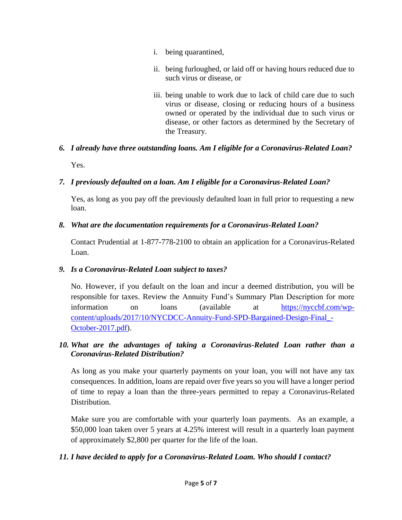- i. being quarantined,
- ii. being furloughed, or laid off or having hours reduced due to such virus or disease, or
- iii. being unable to work due to lack of child care due to such virus or disease, closing or reducing hours of a business owned or operated by the individual due to such virus or disease, or other factors as determined by the Secretary of the Treasury.

# *6. I already have three outstanding loans. Am I eligible for a Coronavirus-Related Loan?*

Yes.

#### *7. I previously defaulted on a loan. Am I eligible for a Coronavirus-Related Loan?*

Yes, as long as you pay off the previously defaulted loan in full prior to requesting a new loan.

#### *8. What are the documentation requirements for a Coronavirus-Related Loan?*

Contact Prudential at 1-877-778-2100 to obtain an application for a Coronavirus-Related Loan.

#### *9. Is a Coronavirus-Related Loan subject to taxes?*

No. However, if you default on the loan and incur a deemed distribution, you will be responsible for taxes. Review the Annuity Fund's Summary Plan Description for more information on loans (available at [https://nyccbf.com/wp](https://nyccbf.com/wp-content/uploads/2017/10/NYCDCC-Annuity-Fund-SPD-Bargained-Design-Final_-October-2017.pdf)[content/uploads/2017/10/NYCDCC-Annuity-Fund-SPD-Bargained-Design-Final\\_-](https://nyccbf.com/wp-content/uploads/2017/10/NYCDCC-Annuity-Fund-SPD-Bargained-Design-Final_-October-2017.pdf) [October-2017.pdf\)](https://nyccbf.com/wp-content/uploads/2017/10/NYCDCC-Annuity-Fund-SPD-Bargained-Design-Final_-October-2017.pdf).

#### *10. What are the advantages of taking a Coronavirus-Related Loan rather than a Coronavirus-Related Distribution?*

As long as you make your quarterly payments on your loan, you will not have any tax consequences. In addition, loans are repaid over five years so you will have a longer period of time to repay a loan than the three-years permitted to repay a Coronavirus-Related Distribution.

Make sure you are comfortable with your quarterly loan payments. As an example, a \$50,000 loan taken over 5 years at 4.25% interest will result in a quarterly loan payment of approximately \$2,800 per quarter for the life of the loan.

#### *11. I have decided to apply for a Coronavirus-Related Loam. Who should I contact?*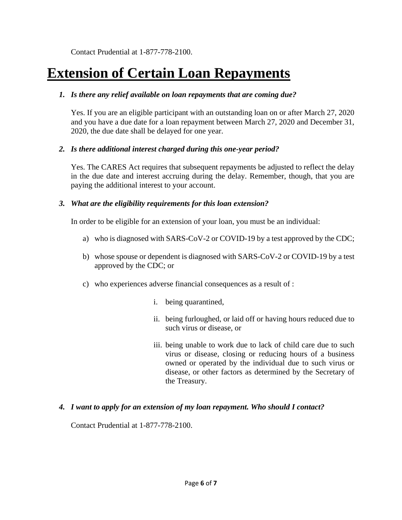Contact Prudential at 1-877-778-2100.

## **Extension of Certain Loan Repayments**

#### *1. Is there any relief available on loan repayments that are coming due?*

Yes. If you are an eligible participant with an outstanding loan on or after March 27, 2020 and you have a due date for a loan repayment between March 27, 2020 and December 31, 2020, the due date shall be delayed for one year.

#### *2. Is there additional interest charged during this one-year period?*

Yes. The CARES Act requires that subsequent repayments be adjusted to reflect the delay in the due date and interest accruing during the delay. Remember, though, that you are paying the additional interest to your account.

#### *3. What are the eligibility requirements for this loan extension?*

In order to be eligible for an extension of your loan, you must be an individual:

- a) who is diagnosed with SARS-CoV-2 or COVID-19 by a test approved by the CDC;
- b) whose spouse or dependent is diagnosed with SARS-CoV-2 or COVID-19 by a test approved by the CDC; or
- c) who experiences adverse financial consequences as a result of :
	- i. being quarantined,
	- ii. being furloughed, or laid off or having hours reduced due to such virus or disease, or
	- iii. being unable to work due to lack of child care due to such virus or disease, closing or reducing hours of a business owned or operated by the individual due to such virus or disease, or other factors as determined by the Secretary of the Treasury.

#### *4. I want to apply for an extension of my loan repayment. Who should I contact?*

Contact Prudential at 1-877-778-2100.